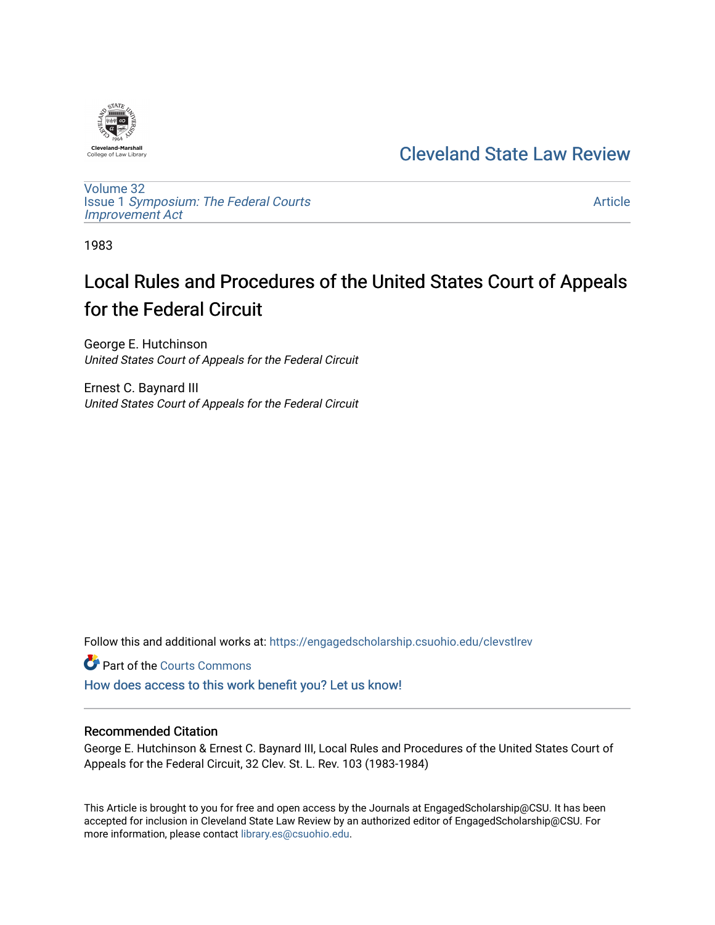# [Cleveland State Law Review](https://engagedscholarship.csuohio.edu/clevstlrev)

<sub>1904</sub><br>**Cleveland-Marshall**<br>College of Law Libra

[Volume 32](https://engagedscholarship.csuohio.edu/clevstlrev/vol32) Issue 1 [Symposium: The Federal Courts](https://engagedscholarship.csuohio.edu/clevstlrev/vol32/iss1)  [Improvement Act](https://engagedscholarship.csuohio.edu/clevstlrev/vol32/iss1)

[Article](https://engagedscholarship.csuohio.edu/clevstlrev/vol32/iss1/9) 

1983

# Local Rules and Procedures of the United States Court of Appeals for the Federal Circuit

George E. Hutchinson United States Court of Appeals for the Federal Circuit

Ernest C. Baynard III United States Court of Appeals for the Federal Circuit

Follow this and additional works at: [https://engagedscholarship.csuohio.edu/clevstlrev](https://engagedscholarship.csuohio.edu/clevstlrev?utm_source=engagedscholarship.csuohio.edu%2Fclevstlrev%2Fvol32%2Fiss1%2F9&utm_medium=PDF&utm_campaign=PDFCoverPages)

Part of the [Courts Commons](http://network.bepress.com/hgg/discipline/839?utm_source=engagedscholarship.csuohio.edu%2Fclevstlrev%2Fvol32%2Fiss1%2F9&utm_medium=PDF&utm_campaign=PDFCoverPages)  [How does access to this work benefit you? Let us know!](http://library.csuohio.edu/engaged/)

## Recommended Citation

George E. Hutchinson & Ernest C. Baynard III, Local Rules and Procedures of the United States Court of Appeals for the Federal Circuit, 32 Clev. St. L. Rev. 103 (1983-1984)

This Article is brought to you for free and open access by the Journals at EngagedScholarship@CSU. It has been accepted for inclusion in Cleveland State Law Review by an authorized editor of EngagedScholarship@CSU. For more information, please contact [library.es@csuohio.edu](mailto:library.es@csuohio.edu).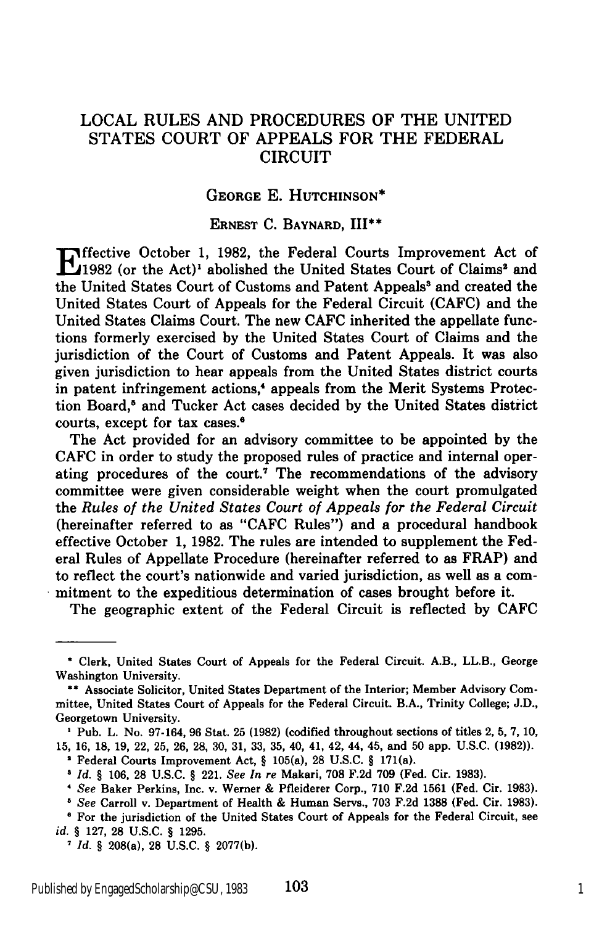### LOCAL RULES AND PROCEDURES OF THE UNITED STATES COURT OF APPEALS FOR THE FEDERAL **CIRCUIT**

#### **GEORGE** E. **HUTCHINSON\***

#### **ERNEST C.** BAYNARD, **III\*\***

**E** ffective October 1, **1982,** the Federal Courts Improvement Act of **1982** (or the Act)' abolished the United States Court of Claims' and the United States Court of Customs and Patent Appeals<sup>3</sup> and created the United States Court of Appeals for the Federal Circuit (CAFC) and the United States Claims Court. The new CAFC inherited the appellate functions formerly exercised by the United States Court of Claims and the jurisdiction of the Court of Customs and Patent Appeals. It was also given jurisdiction to hear appeals from the United States district courts in patent infringement actions,<sup>4</sup> appeals from the Merit Systems Protection Board,<sup>6</sup> and Tucker Act cases decided by the United States district courts, except for tax cases.<sup>6</sup>

The Act provided for an advisory committee to be appointed by the CAFC in order to study the proposed rules of practice and internal operating procedures of the court.7 The recommendations of the advisory committee were given considerable weight when the court promulgated the *Rules of the United States Court of Appeals for the Federal Circuit* (hereinafter referred to as "CAFC Rules") and a procedural handbook effective October 1, 1982. The rules are intended to supplement the Federal Rules of Appellate Procedure (hereinafter referred to as FRAP) and to reflect the court's nationwide and varied jurisdiction, as well as a commitment to the expeditious determination of cases brought before it.

The geographic extent of the Federal Circuit is reflected by CAFC

**<sup>\*</sup>** Clerk, United States Court of Appeals for the Federal Circuit. A.B., LL.B., George Washington University.

<sup>\*\*</sup> Associate Solicitor, United States Department of the Interior; Member Advisory Committee, United States Court of Appeals for the Federal Circuit. B.A., Trinity College; J.D., Georgetown University.

**<sup>&#</sup>x27;** Pub. L. No. 97-164, 96 Stat. 25 (1982) (codified throughout sections of titles 2, 5, 7, 10, 15, 16, 18, 19, 22, 25, 26, 28, 30, 31, 33, 35, 40, 41, 42, 44, 45, and 50 app. U.S.C. (1982)).

**<sup>&</sup>quot;** Federal Courts Improvement Act, § 105(a), 28 U.S.C. § 171(a).

**<sup>3</sup>** *Id.* § 106, 28 U.S.C. § 221. *See In re* Makari, 708 F.2d 709 (Fed. Cir. 1983).

**<sup>&#</sup>x27;** *See* Baker Perkins, Inc. v. Werner & Pfleiderer Corp., 710 F.2d 1561 (Fed. Cir. 1983).

**<sup>&#</sup>x27;** *See* Carroll v. Department of Health & Human Servs., 703 F.2d 1388 (Fed. Cir. 1983).

**<sup>&</sup>quot;** For the jurisdiction of the United States Court of Appeals for the Federal Circuit, see *id.* § 127, 28 U.S.C. § 1295.

*Id.* § 208(a), 28 U.S.C. § 2077(b).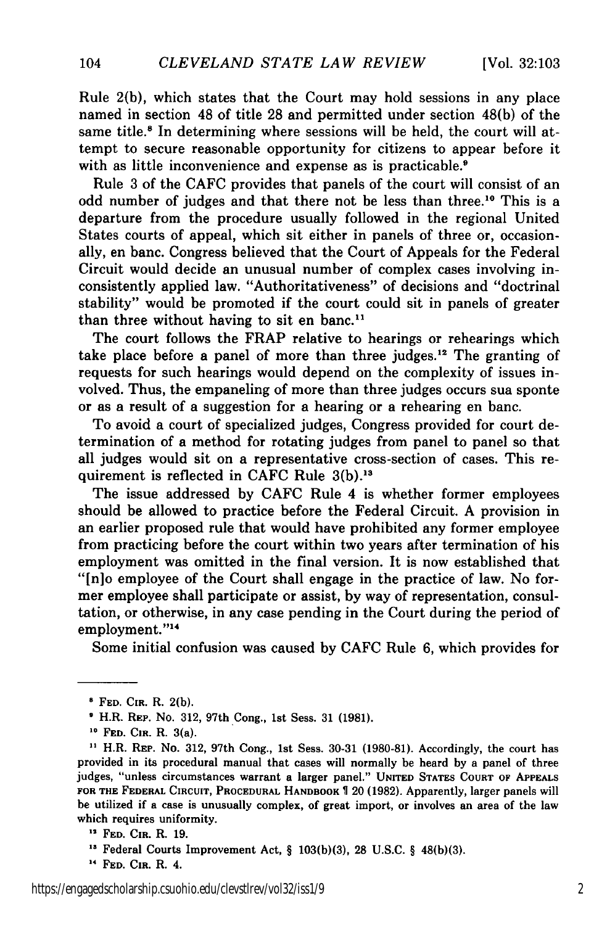Rule 2(b), which states that the Court may hold sessions in any place named in section 48 of title 28 and permitted under section 48(b) of the same title.<sup>8</sup> In determining where sessions will be held, the court will attempt to secure reasonable opportunity for citizens to appear before it with as little inconvenience and expense as is practicable.<sup>9</sup>

Rule 3 of the CAFC provides that panels of the court will consist of an odd number of judges and that there not be less than three.<sup>10</sup> This is a departure from the procedure usually followed in the regional United States courts of appeal, which sit either in panels of three or, occasionally, en banc. Congress believed that the Court of Appeals for the Federal Circuit would decide an unusual number of complex cases involving inconsistently applied law. "Authoritativeness" of decisions and "doctrinal stability" would be promoted if the court could sit in panels of greater than three without having to sit en banc.<sup>11</sup>

The court follows the FRAP relative to hearings or rehearings which take place before a panel of more than three judges.<sup>12</sup> The granting of requests for such hearings would depend on the complexity of issues involved. Thus, the empaneling of more than three judges occurs sua sponte or as a result of a suggestion for a hearing or a rehearing en banc.

To avoid a court of specialized judges, Congress provided for court determination of a method for rotating judges from panel to panel so that all judges would sit on a representative cross-section of cases. This requirement is reflected in CAFC Rule 3(b).<sup>13</sup>

The issue addressed by CAFC Rule 4 is whether former employees should be allowed to practice before the Federal Circuit. A provision in an earlier proposed rule that would have prohibited any former employee from practicing before the court within two years after termination of his employment was omitted in the final version. It is now established that "[n]o employee of the Court shall engage in the practice of law. No former employee shall participate or assist, by way of representation, consultation, or otherwise, in any case pending in the Court during the period of employment."<sup>14</sup>

Some initial confusion was caused by CAFC Rule 6, which provides for

**<sup>8</sup> FED.** CIR. R. **2(b).**

**<sup>9</sup>**H.R. **REP.** No. 312, 97th Cong., 1st Sess. **31 (1981).**

**<sup>10</sup> FED. CIR.** R. 3(a).

**<sup>&</sup>quot;** H.R. REP. No. **312,** 97th Cong., 1st Sess. 30-31 (1980-81). Accordingly, the court has provided in its procedural manual that cases will normally be heard by a panel of three judges, "unless circumstances warrant a larger panel." **UNITED STATES COURT** OF **APPEALS** FOR THE FEDERAL CIRCUIT, PROCEDURAL HANDBOOK **1** 20 **(1982).** Apparently, larger panels will be utilized if a case is unusually complex, of great import, or involves an area of the law which requires uniformity.

**<sup>&</sup>quot; FED.** CIR. R. **19.**

**<sup>&#</sup>x27;3** Federal Courts Improvement Act, § **103(b)(3), 28 U.S.C.** § **48(b)(3).**

**<sup>11</sup>** FED. CIR. R. 4.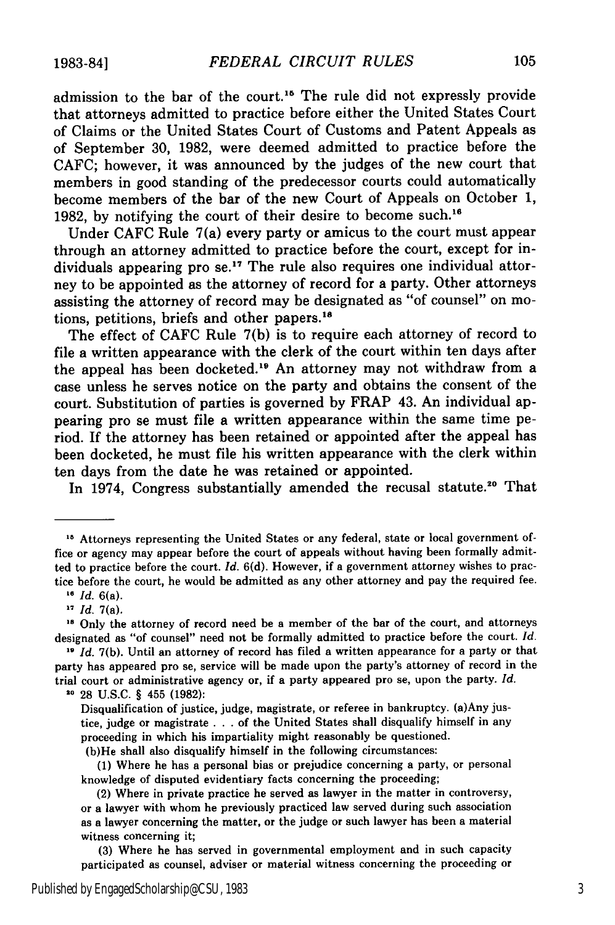admission to the bar of the court.<sup>15</sup> The rule did not expressly provide that attorneys admitted to practice before either the United States Court of Claims or the United States Court of Customs and Patent Appeals as of September **30, 1982,** were deemed admitted to practice before the **CAFC;** however, it was announced **by** the judges of the new court that members in good standing of the predecessor courts could automatically become members of the bar of the new Court of Appeals on October **1, 1982, by** notifying the court of their desire to become such.'6

Under **CAFC** Rule 7(a) every party or amicus to the court must appear through an attorney admitted to practice before the court, except for individuals appearing pro se.<sup>17</sup> The rule also requires one individual attorney to be appointed as the attorney of record for a party. Other attorneys assisting the attorney of record may be designated as "of counsel" on motions, petitions, briefs and other papers.<sup>18</sup>

The effect of **CAFC** Rule **7(b)** is to require each attorney of record to file a written appearance with the clerk of the court within ten days after the appeal has been docketed.<sup>19</sup> An attorney may not withdraw from a case unless he serves notice on the party and obtains the consent of the court. Substitution of parties is governed **by** FRAP 43. An individual appearing pro se must file a written appearance within the same time period. **If** the attorney has been retained or appointed after the appeal has been docketed, he must file his written appearance with the clerk within ten days from the date he was retained or appointed.

In 1974, Congress substantially amended the recusal statute.<sup>20</sup> That

<sup>&</sup>lt;sup>15</sup> Attorneys representing the United States or any federal, state or local government office or agency may appear before the court of appeals without having been formally admitted to practice before the court. *Id.* **6(d).** However, if a government attorney wishes to practice before the court, he would be admitted as any other attorney and pay the required fee.

*<sup>&</sup>quot; Id.* 6(a).

*<sup>&</sup>quot; Id.* 7(a).

**<sup>&#</sup>x27;8** Only the attorney of record need be a member of the bar of the court, and attorneys designated as "of counsel" need not be formally admitted to practice before the court. *Id.*

*IV Id.* 7(b). Until an attorney of record has filed a written appearance for a party or that party has appeared pro se, service will be made upon the party's attorney of record in the trial court or administrative agency or, if a party appeared pro se, upon the party. *Id.* **<sup>10</sup>**28 U.S.C. § 455 (1982):

Disqualification of justice, judge, magistrate, or referee in bankruptcy. (a)Any justice, judge or magistrate **. . .** of the United States shall disqualify himself in any proceeding in which his impartiality might reasonably be questioned.

<sup>(</sup>b)He shall also disqualify himself in the following circumstances:

**<sup>(1)</sup>** Where he has a personal bias or prejudice concerning a party, or personal knowledge of disputed evidentiary facts concerning the proceeding;

<sup>(2)</sup> Where in private practice he served as lawyer in the matter in controversy, or a lawyer with whom he previously practiced law served during such association as a lawyer concerning the matter, or the judge or such lawyer has been a material witness concerning it;

**<sup>(3)</sup>** Where he has served in governmental employment and in such capacity participated as counsel, adviser or material witness concerning the proceeding or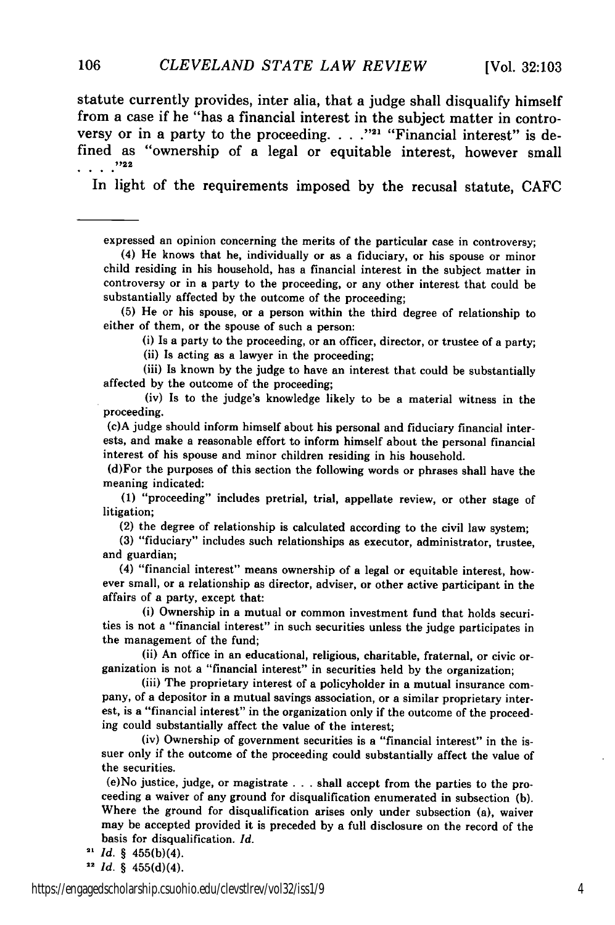statute currently provides, inter alia, that a judge shall disqualify himself from a case if he "has a financial interest in the subject matter in controversy or in a party to the proceeding. . . ."<sup>21</sup> "Financial interest" is defined as "ownership of a legal or equitable interest, however small  $\cdots$   $\cdots$ 

In light of the requirements imposed **by** the recusal statute, **CAFC**

expressed an opinion concerning the merits of the particular case in controversy;

(4) He knows that he, individually or as a fiduciary, or his spouse or minor child residing in his household, has a financial interest in the subject matter in controversy or in a party to the proceeding, or any other interest that could be substantially affected **by** the outcome of the proceeding;

**(5)** He or his spouse, or a person within the third degree of relationship to either of them, or the spouse of such a person:

(i) Is a party to the proceeding, or an officer, director, or trustee of a party;

(ii) Is acting as a lawyer in the proceeding;

(iii) Is known **by** the judge to have an interest that could be substantially affected **by** the outcome of the proceeding;

(iv) Is to the judge's knowledge likely to be a material witness in the proceeding.

(c)A judge should inform himself about his personal and fiduciary financial interests, and make a reasonable effort to inform himself about the personal financial interest of his spouse and minor children residing in his household.

(d)For the purposes of this section the following words or phrases shall have the meaning indicated:

**(1)** "proceeding" includes pretrial, trial, appellate review, or other stage of litigation;

(2) the degree of relationship is calculated according to the civil law system;

**(3)** "fiduciary" includes such relationships as executor, administrator, trustee, and guardian;

(4) "financial interest" means ownership of a legal or equitable interest, however small, or a relationship as director, adviser, or other active participant in the affairs of a party, except that:

(i) Ownership in a mutual or common investment fund that holds securities is not a "financial interest" in such securities unless the judge participates in the management of the fund;

(ii) An office in an educational, religious, charitable, fraternal, or civic organization is not a "financial interest" in securities held **by** the organization;

(iii) The proprietary interest of a policyholder in a mutual insurance company, of a depositor in a mutual savings association, or a similar proprietary interest, is a "financial interest" in the organization only if the outcome of the proceeding could substantially affect the value of the interest;

(iv) Ownership of government securities is a "financial interest" in the issuer only if the outcome of the proceeding could substantially affect the value of the securities.

(e)No justice, judge, or magistrate **. . .** shall accept from the parties to the proceeding a waiver of any ground for disqualification enumerated in subsection **(b).** Where the ground for disqualification arises only under subsection (a), waiver may be accepted provided it is preceded **by** a full disclosure on the record of the basis for disqualification. *Id.*

<sup>21</sup>*Id.* § 455(b)(4).

 $22$  *Id.* § 455(d)(4).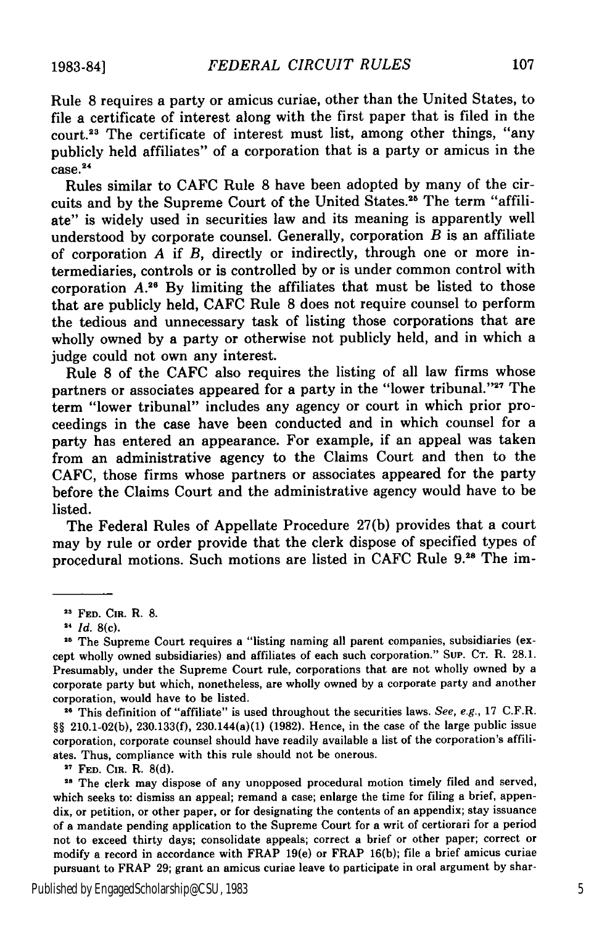Rule 8 requires a party or amicus curiae, other than the United States, to file a certificate of interest along with the first paper that is filed in the court.<sup>23</sup> The certificate of interest must list, among other things, "any publicly held affiliates" of a corporation that is a party or amicus in the  $case.<sup>24</sup>$ 

Rules similar to CAFC Rule 8 have been adopted by many of the circuits and by the Supreme Court of the United States. 25 The term "affiliate" is widely used in securities law and its meaning is apparently well understood by corporate counsel. Generally, corporation *B* is an affiliate of corporation *A* if *B,* directly or indirectly, through one or more intermediaries, controls or is controlled by or is under common control with corporation  $A^{26}$  By limiting the affiliates that must be listed to those that are publicly held, CAFC Rule 8 does not require counsel to perform the tedious and unnecessary task of listing those corporations that are wholly owned by a party or otherwise not publicly held, and in which a judge could not own any interest.

Rule 8 of the CAFC also requires the listing of all law firms whose partners or associates appeared for a party in the "lower tribunal."<sup>27</sup> The term "lower tribunal" includes any agency or court in which prior proceedings in the case have been conducted and in which counsel for a party has entered an appearance. For example, if an appeal was taken from an administrative agency to the Claims Court and then to the CAFC, those firms whose partners or associates appeared for the party before the Claims Court and the administrative agency would have to be listed.

The Federal Rules of Appellate Procedure 27(b) provides that a court may by rule or order provide that the clerk dispose of specified types of procedural motions. Such motions are listed in CAFC Rule 9.<sup>28</sup> The im-

**<sup>26</sup>**This definition of "affiliate" is used throughout the securities laws. *See,* e.g., 17 C.F.R. §§ 210.1-02(b), **230.133(f),** 230.144(a)(1) **(1982).** Hence, in the case of the large public issue corporation, corporate counsel should have readily available a list of the corporation's affiliates. Thus, compliance with this rule should not be onerous.

**7 FED.** CIR. R. **8(d).**

<sup>28</sup> The clerk may dispose of any unopposed procedural motion timely filed and served, which seeks to: dismiss an appeal; remand a case; enlarge the time for filing a brief, appendix, or petition, or other paper, or for designating the contents of an appendix; stay issuance of a mandate pending application to the Supreme Court for a writ of certiorari for a period not to exceed thirty days; consolidate appeals; correct a brief or other paper; correct or modify a record in accordance with FRAP 19(e) or FRAP **16(b);** file a brief amicus curiae pursuant to FRAP **29;** grant an amicus curiae leave to participate in oral argument by shar-

**<sup>23</sup> FED. CIR.** R. **8.**

*Id.* 8(c).

The Supreme Court requires a "listing naming all parent companies, subsidiaries (except wholly owned subsidiaries) and affiliates of each such corporation." Sup. **CT.** R. **28.1.** Presumably, under the Supreme Court rule, corporations that are not wholly owned by a corporate party but which, nonetheless, are wholly owned by a corporate party and another corporation, would have to be listed.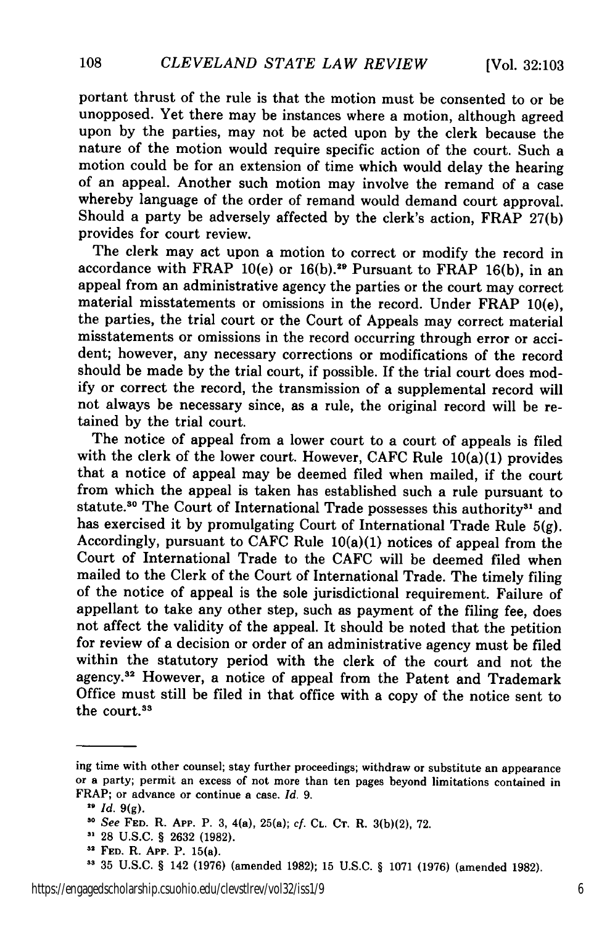portant thrust of the rule is that the motion must be consented to or be unopposed. Yet there may be instances where a motion, although agreed upon by the parties, may not be acted upon by the clerk because the nature of the motion would require specific action of the court. Such a motion could be for an extension of time which would delay the hearing of an appeal. Another such motion may involve the remand of a case whereby language of the order of remand would demand court approval. Should a party be adversely affected by the clerk's action, FRAP 27(b) provides for court review.

The clerk may act upon a motion to correct or modify the record in accordance with FRAP 10(e) or  $16(b).^{29}$  Pursuant to FRAP 16(b), in an appeal from an administrative agency the parties or the court may correct material misstatements or omissions in the record. Under FRAP 10(e), the parties, the trial court or the Court of Appeals may correct material misstatements or omissions in the record occurring through error or accident; however, any necessary corrections or modifications of the record should be made by the trial court, if possible. If the trial court does modify or correct the record, the transmission of a supplemental record will not always be necessary since, as a rule, the original record will be retained by the trial court.

The notice of appeal from a lower court to a court of appeals is filed with the clerk of the lower court. However, CAFC Rule 10(a)(1) provides that a notice of appeal may be deemed filed when mailed, if the court from which the appeal is taken has established such a rule pursuant to statute.<sup>30</sup> The Court of International Trade possesses this authority<sup>31</sup> and has exercised it by promulgating Court of International Trade Rule 5(g). Accordingly, pursuant to CAFC Rule 10(a)(1) notices of appeal from the Court of International Trade to the CAFC will be deemed filed when mailed to the Clerk of the Court of International Trade. The timely filing of the notice of appeal is the sole jurisdictional requirement. Failure of appellant to take any other step, such as payment of the filing fee, does not affect the validity of the appeal. It should be noted that the petition for review of a decision or order of an administrative agency must be filed within the statutory period with the clerk of the court and not the agency.32 However, a notice of appeal from the Patent and Trademark Office must still be filed in that office with a copy of the notice sent to the court.<sup>33</sup>

108

ing time with other counsel; stay further proceedings; withdraw or substitute an appearance or a party; permit an excess of not more than ten pages beyond limitations contained in FRAP; or advance or continue a case. *Id. 9.*

**<sup>&</sup>quot;** *Id.* **9(g).**

**<sup>30</sup>***See* **FED.** R. App. P. 3, 4(a), 25(a); cf. CL. CT. R. 3(b)(2), 72.

**<sup>3&#</sup>x27;** 28 U.S.C. § 2632 (1982).

**<sup>32</sup> FED.** R. **App.** P. 15(a).

**<sup>&</sup>quot;3** 35 U.S.C. § 142 (1976) (amended 1982); 15 U.S.C. § 1071 (1976) (amended 1982).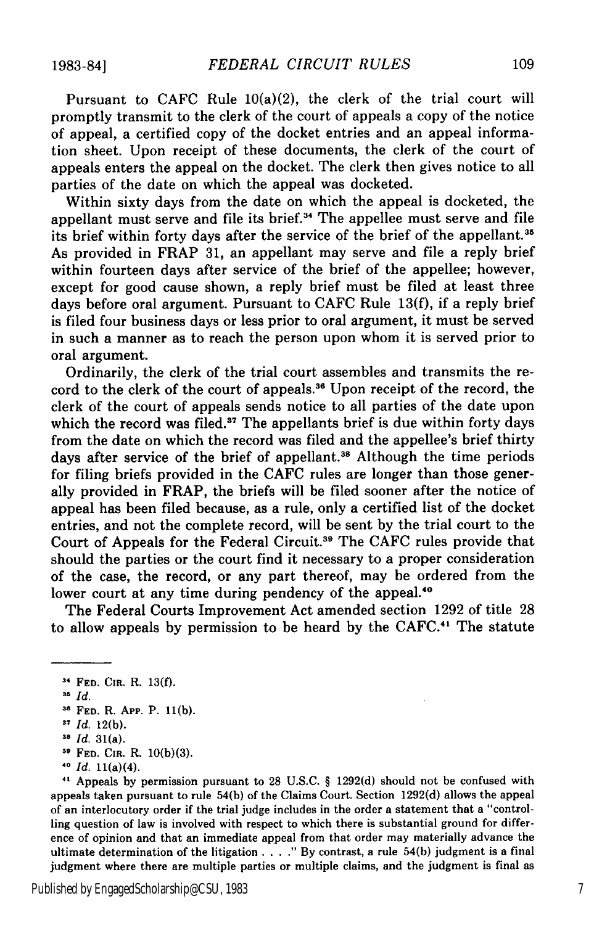Pursuant to CAFC Rule 10(a)(2), the clerk of the trial court will promptly transmit to the clerk of the court of appeals a copy of the notice of appeal, a certified copy of the docket entries and an appeal information sheet. Upon receipt of these documents, the clerk of the court of appeals enters the appeal on the docket. The clerk then gives notice to all parties of the date on which the appeal was docketed.

Within sixty days from the date on which the appeal is docketed, the appellant must serve and file its brief.<sup>34</sup> The appellee must serve and file its brief within forty days after the service of the brief of the appellant.<sup>35</sup> As provided in FRAP 31, an appellant may serve and file a reply brief within fourteen days after service of the brief of the appellee; however, except for good cause shown, a reply brief must be filed at least three days before oral argument. Pursuant to CAFC Rule 13(f), if a reply brief is filed four business days or less prior to oral argument, it must be served in such a manner as to reach the person upon whom it is served prior to oral argument.

Ordinarily, the clerk of the trial court assembles and transmits the record to the clerk of the court of appeals.<sup>36</sup> Upon receipt of the record, the clerk of the court of appeals sends notice to all parties of the date upon which the record was filed.<sup>37</sup> The appellants brief is due within forty days from the date on which the record was filed and the appellee's brief thirty days after service of the brief of appellant.<sup>38</sup> Although the time periods for filing briefs provided in the CAFC rules are longer than those generally provided in FRAP, the briefs will be filed sooner after the notice of appeal has been filed because, as a rule, only a certified list of the docket entries, and not the complete record, will be sent by the trial court to the Court of Appeals for the Federal Circuit.<sup>39</sup> The CAFC rules provide that should the parties or the court find it necessary to a proper consideration of the case, the record, or any part thereof, may be ordered from the lower court at any time during pendency of the appeal.<sup>40</sup>

The Federal Courts Improvement Act amended section 1292 of title 28 to allow appeals by permission to be heard by the CAFC.<sup>41</sup> The statute

4 Appeals by permission pursuant to 28 U.S.C. § 1292(d) should not be confused with appeals taken pursuant to rule 54(b) of the Claims Court. Section 1292(d) allows the appeal of an interlocutory order if the trial judge includes in the order a statement that a "controlling question of law is involved with respect to which there is substantial ground for difference of opinion and that an immediate appeal from that order may materially advance the ultimate determination of the litigation **.... "** By contrast, a rule 54(b) judgment is a final judgment where there are multiple parties or multiple claims, and the judgment is final as

**<sup>34</sup>**FED. CIR. R. 13(f).

**<sup>35</sup>** *Id.*

**<sup>31</sup>**FED. R. **App.** P. **11(b).**

**<sup>37</sup>***Id.* 12(b).

*<sup>&#</sup>x27;8 Id.* 31(a).

**<sup>39</sup>**FED. **CIR.** R. 10(b)(3).

**<sup>40</sup>***Id.* 11(a)(4).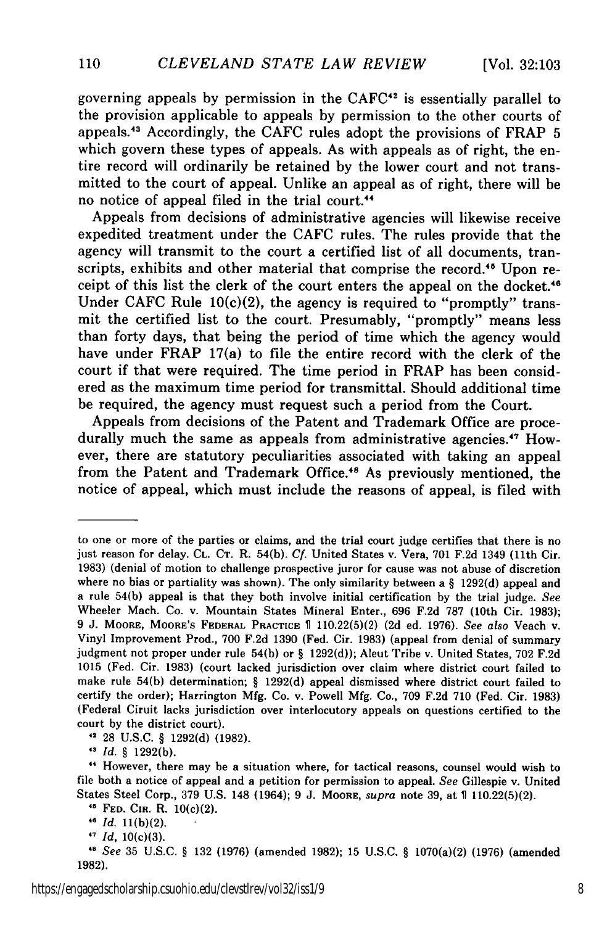governing appeals by permission in the CAFC42 is essentially parallel to the provision applicable to appeals by permission to the other courts of appeals."3 Accordingly, the CAFC rules adopt the provisions of FRAP 5 which govern these types of appeals. As with appeals as of right, the entire record will ordinarily be retained by the lower court and not transmitted to the court of appeal. Unlike an appeal as of right, there will be no notice of appeal filed in the trial court.<sup>44</sup>

Appeals from decisions of administrative agencies will likewise receive expedited treatment under the CAFC rules. The rules provide that the agency will transmit to the court a certified list of all documents, transcripts, exhibits and other material that comprise the record.<sup>45</sup> Upon receipt of this list the clerk of the court enters the appeal on the docket.<sup>46</sup> Under CAFC Rule  $10(c)(2)$ , the agency is required to "promptly" transmit the certified list to the court. Presumably, "promptly" means less than forty days, that being the period of time which the agency would have under FRAP 17(a) to file the entire record with the clerk of the court if that were required. The time period in FRAP has been considered as the maximum time period for transmittal. Should additional time be required, the agency must request such a period from the Court.

Appeals from decisions of the Patent and Trademark Office are procedurally much the same as appeals from administrative agencies.<sup>47</sup> However, there are statutory peculiarities associated with taking an appeal from the Patent and Trademark Office.<sup>48</sup> As previously mentioned, the notice of appeal, which must include the reasons of appeal, is filed with

**<sup>42</sup>**28 U.S.C. § 1292(d) (1982).

**.3** *Id. §* 1292(b).

110

to one or more of the parties or claims, and the trial court judge certifies that there is no just reason for delay. **CL.** CT. R. 54(b). *Cf.* United States v. Vera, 701 F.2d 1349 (11th Cir. 1983) (denial of motion to challenge prospective juror for cause was not abuse of discretion where no bias or partiality was shown). The only similarity between a § 1292(d) appeal and a rule 54(b) appeal is that they both involve initial certification by the trial judge. *See* Wheeler Mach. Co. v. Mountain States Mineral Enter., 696 F.2d 787 (10th Cir. 1983); 9 J. MOORE, MOORE'S FEDERAL PRACTICE T 110.22(5)(2) (2d ed. 1976). *See also* Veach v. Vinyl Improvement Prod., 700 F.2d 1390 (Fed. Cir. **1983)** (appeal from denial of summary judgment not proper under rule 54(b) or § **1292(d));** Aleut Tribe v. United States, 702 F.2d 1015 (Fed. Cir. **1983)** (court lacked jurisdiction over claim where district court failed to make rule 54(b) determination; § **1292(d)** appeal dismissed where district court failed to certify the order); Harrington Mfg. Co. v. Powell Mfg. Co., 709 F.2d 710 (Fed. Cir. **1983)** (Federal Ciruit lacks jurisdiction over interlocutory appeals on questions certified to the court by the district court).

<sup>4</sup> However, there may be a situation where, for tactical reasons, counsel would wish to file both a notice of appeal and a petition for permission to appeal. *See* Gillespie v. United States Steel Corp., 379 U.S. 148 (1964); 9 J. MOORE, *supra* note 39, at **1** 110.22(5)(2). **41 FED.** CIR. R. 10(c)(2).

**<sup>-6</sup>** *Id.* **11(b)(2).**

**<sup>41</sup>***Id,* 10(c)(3).

*<sup>&</sup>quot; See* **35 U.S.C.** § **132 (1976)** (amended **1982); 15 U.S.C.** § 1070(a)(2) **(1976)** (amended **1982).**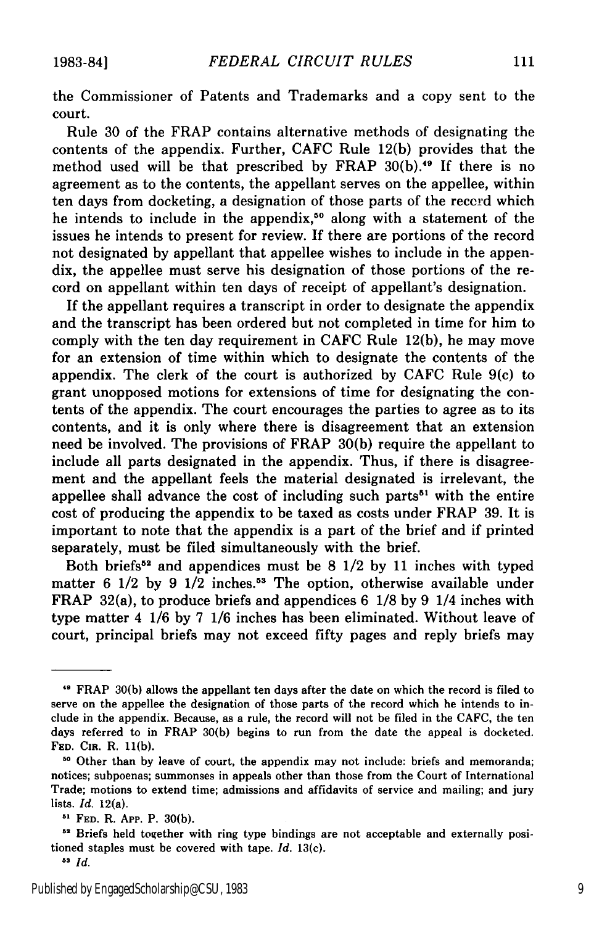the Commissioner of Patents and Trademarks and a copy sent to the court.

Rule 30 of the FRAP contains alternative methods of designating the contents of the appendix. Further, CAFC Rule 12(b) provides that the method used will be that prescribed by FRAP  $30(b)$ .<sup>49</sup> If there is no agreement as to the contents, the appellant serves on the appellee, within ten days from docketing, a designation of those parts of the reccrd which he intends to include in the appendix,<sup>50</sup> along with a statement of the issues he intends to present for review. If there are portions of the record not designated by appellant that appellee wishes to include in the appendix, the appellee must serve his designation of those portions of the record on appellant within ten days of receipt of appellant's designation.

If the appellant requires a transcript in order to designate the appendix and the transcript has been ordered but not completed in time for him to comply with the ten day requirement in CAFC Rule 12(b), he may move for an extension of time within which to designate the contents of the appendix. The clerk of the court is authorized by CAFC Rule 9(c) to grant unopposed motions for extensions of time for designating the contents of the appendix. The court encourages the parties to agree as to its contents, and it is only where there is disagreement that an extension need be involved. The provisions of FRAP 30(b) require the appellant to include all parts designated in the appendix. Thus, if there is disagreement and the appellant feels the material designated is irrelevant, the appellee shall advance the cost of including such parts<sup>51</sup> with the entire cost of producing the appendix to be taxed as costs under FRAP 39. It is important to note that the appendix is a part of the brief and if printed separately, must be filed simultaneously with the brief.

Both briefs<sup>52</sup> and appendices must be 8 1/2 by 11 inches with typed matter 6  $1/2$  by 9  $1/2$  inches.<sup>53</sup> The option, otherwise available under FRAP 32(a), to produce briefs and appendices 6 1/8 by 9 1/4 inches with type matter 4 1/6 by 7 1/6 inches has been eliminated. Without leave of court, principal briefs may not exceed fifty pages and reply briefs may

**<sup>&#</sup>x27;,** FRAP **30(b)** allows the appellant ten days after the date on which the record is filed to serve on the appellee the designation of those parts of the record which he intends to include in the appendix. Because, as a rule, the record will not be filed in the **CAFC,** the ten days referred to in FRAP **30(b)** begins to run from the date the appeal is docketed. **FED. CIR.** R. **11(b).**

**<sup>&</sup>quot;O** Other than **by** leave of court, the appendix may not include: briefs and memoranda; notices; subpoenas; summonses in appeals other than those from the Court of International Trade; motions to extend time; admissions and affidavits of service and mailing; and jury lists. *Id.* 12(a).

**Sl FED.** R. **App.** P. **30(b).**

<sup>&</sup>lt;sup>52</sup> Briefs held together with ring type bindings are not acceptable and externally positioned staples must be covered with tape. *Id.* 13(c).

**<sup>53</sup>** *Id.*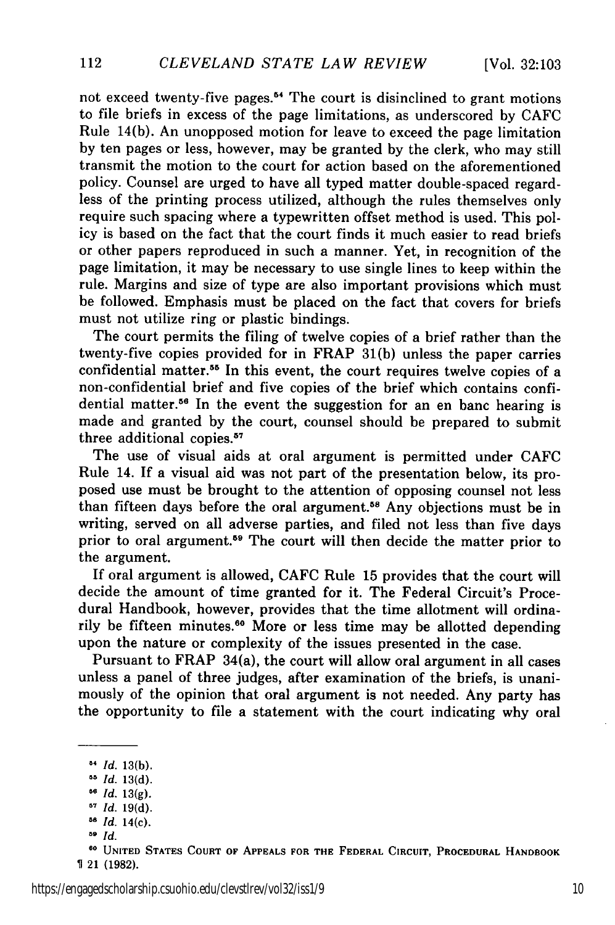not exceed twenty-five pages.<sup>54</sup> The court is disinclined to grant motions to file briefs in excess of the page limitations, as underscored by CAFC Rule 14(b). An unopposed motion for leave to exceed the page limitation by ten pages or less, however, may be granted by the clerk, who may still transmit the motion to the court for action based on the aforementioned policy. Counsel are urged to have all typed matter double-spaced regardless of the printing process utilized, although the rules themselves only require such spacing where a typewritten offset method is used. This policy is based on the fact that the court finds it much easier to read briefs or other papers reproduced in such a manner. Yet, in recognition of the page limitation, it may be necessary to use single lines to keep within the rule. Margins and size of type are also important provisions which must be followed. Emphasis must be placed on the fact that covers for briefs must not utilize ring or plastic bindings.

The court permits the filing of twelve copies of a brief rather than the twenty-five copies provided for in FRAP 31(b) unless the paper carries confidential matter.<sup>55</sup> In this event, the court requires twelve copies of a non-confidential brief and five copies of the brief which contains confidential matter.<sup>56</sup> In the event the suggestion for an en banc hearing is made and granted by the court, counsel should be prepared to submit three additional copies.<sup>57</sup>

The use of visual aids at oral argument is permitted under CAFC Rule 14. If a visual aid was not part of the presentation below, its proposed use must be brought to the attention of opposing counsel not less than fifteen days before the oral argument.<sup>58</sup> Any objections must be in writing, served on all adverse parties, and filed not less than five days prior to oral argument.<sup>59</sup> The court will then decide the matter prior to the argument.

If oral argument is allowed, CAFC Rule 15 provides that the court will decide the amount of time granted for it. The Federal Circuit's Procedural Handbook, however, provides that the time allotment will ordinarily be fifteen minutes.<sup>60</sup> More or less time may be allotted depending upon the nature or complexity of the issues presented in the case.

Pursuant to FRAP 34(a), the court will allow oral argument in all cases unless a panel of three judges, after examination of the briefs, is unanimously of the opinion that oral argument is not needed. Any party has the opportunity to file a statement with the court indicating why oral

*59 Id.*

112

**<sup>60</sup>UNITED STATES COURT OF APPEALS FOR THE FEDERAL CIRCUIT, PROCEDURAL** HANDBOOK 21 **(1982).**

<sup>54</sup>*Id.* 13(b).

*<sup>55</sup>Id.* 13(d).

*Id.* **13(g).**

*Id.* 19(d).

<sup>&</sup>lt;sup>58</sup> *Id.* 14(c).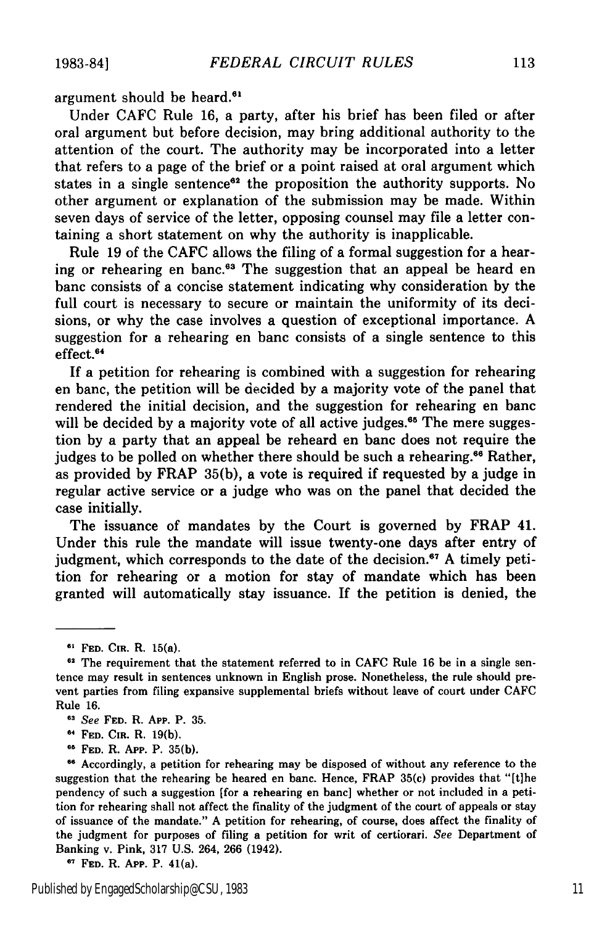**1983-841**

argument should be heard.<sup>61</sup>

Under CAFC Rule 16, a party, after his brief has been filed or after oral argument but before decision, may bring additional authority to the attention of the court. The authority may be incorporated into a letter that refers to a page of the brief or a point raised at oral argument which states in a single sentence<sup>62</sup> the proposition the authority supports. No other argument or explanation of the submission may be made. Within seven days of service of the letter, opposing counsel may file a letter containing a short statement on why the authority is inapplicable.

Rule 19 of the CAFC allows the filing of a formal suggestion for a hearing or rehearing en banc.<sup>63</sup> The suggestion that an appeal be heard en banc consists of a concise statement indicating why consideration by the full court is necessary to secure or maintain the uniformity of its decisions, or why the case involves a question of exceptional importance. A suggestion for a rehearing en banc consists of a single sentence to this effect.<sup>64</sup>

If a petition for rehearing is combined with a suggestion for rehearing en banc, the petition will be decided by a majority vote of the panel that rendered the initial decision, and the suggestion for rehearing en banc will be decided by a majority vote of all active judges.<sup>65</sup> The mere suggestion by a party that an appeal be reheard en banc does not require the judges to be polled on whether there should be such a rehearing.<sup>66</sup> Rather, as provided by FRAP 35(b), a vote is required if requested by a judge in regular active service or a judge who was on the panel that decided the case initially.

The issuance of mandates by the Court is governed by FRAP 41. Under this rule the mandate will issue twenty-one days after entry of judgment, which corresponds to the date of the decision.<sup> $e7$ </sup> A timely petition for rehearing or a motion for stay of mandate which has been granted will automatically stay issuance. If the petition is denied, the

**61 FED.** R. App. P. **35(b).**

**67 FED.** R. App. P. 41(a).

**<sup>61</sup> FED. CIR.** R. 15(a).

**<sup>62</sup>** The requirement that the statement referred to in CAFC Rule **16** be in a single sentence may result in sentences unknown in English prose. Nonetheless, the rule should prevent parties from filing expansive supplemental briefs without leave of court under CAFC Rule 16.

**<sup>63</sup>**See **FED.** R. App. P. 35.

**<sup>&</sup>quot;FED. CIR.** R. **19(b).**

**<sup>66</sup>**Accordingly, a petition for rehearing may be disposed of without any reference to the suggestion that the rehearing be heared en banc. Hence, FRAP 35(c) provides that "[tlhe pendency of such a suggestion [for a rehearing en banc] whether or not included in a petition for rehearing shall not affect the finality of the judgment of the court of appeals or stay of issuance of the mandate." A petition for rehearing, of course, does affect the finality of the judgment for purposes of filing a petition for writ of certiorari. See Department of Banking v. Pink, **317** U.S. 264, **266** (1942).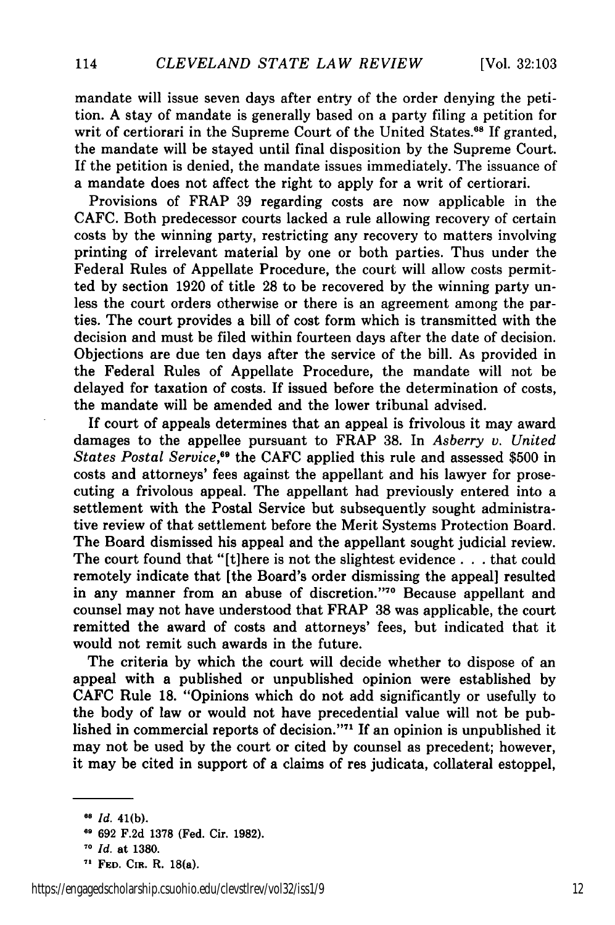mandate will issue seven days after entry of the order denying the petition. A stay of mandate is generally based on a party filing a petition for writ of certiorari in the Supreme Court of the United States.<sup>68</sup> If granted, the mandate will be stayed until final disposition by the Supreme Court. If the petition is denied, the mandate issues immediately. The issuance of a mandate does not affect the right to apply for a writ of certiorari.

Provisions of FRAP 39 regarding costs are now applicable in the CAFC. Both predecessor courts lacked a rule allowing recovery of certain costs by the winning party, restricting any recovery to matters involving printing of irrelevant material by one or both parties. Thus under the Federal Rules of Appellate Procedure, the court will allow costs permitted by section 1920 of title 28 to be recovered by the winning party unless the court orders otherwise or there is an agreement among the parties. The court provides a bill of cost form which is transmitted with the decision and must be filed within fourteen days after the date of decision. Objections are due ten days after the service of the bill. As provided in the Federal Rules of Appellate Procedure, the mandate will not be delayed for taxation of costs. If issued before the determination of costs, the mandate will be amended and the lower tribunal advised.

If court of appeals determines that an appeal is frivolous it may award damages to the appellee pursuant to FRAP 38. In *Asberry v. United States Postal Service,69* the CAFC applied this rule and assessed \$500 in costs and attorneys' fees against the appellant and his lawyer for prosecuting a frivolous appeal. The appellant had previously entered into a settlement with the Postal Service but subsequently sought administrative review of that settlement before the Merit Systems Protection Board. The Board dismissed his appeal and the appellant sought judicial review. The court found that "[t]here is not the slightest evidence **. . .** that could remotely indicate that [the Board's order dismissing the appeal] resulted in any manner from an abuse of discretion."<sup>70</sup> Because appellant and counsel may not have understood that FRAP 38 was applicable, the court remitted the award of costs and attorneys' fees, but indicated that it would not remit such awards in the future.

The criteria by which the court will decide whether to dispose of an appeal with a published or unpublished opinion were established by CAFC Rule 18. "Opinions which do not add significantly or usefully to the body of law or would not have precedential value will not be published in commercial reports of decision."<sup>71</sup> If an opinion is unpublished it may not be used **by** the court or cited **by** counsel as precedent; however, it may be cited in support of a claims of res judicata, collateral estoppel,

114

*<sup>68</sup>Id.* 41(b).

**<sup>&</sup>quot;' 692 F.2d 1378** (Fed. Cir. **1982).**

*<sup>70</sup>Id.* at **1380.**

**<sup>71</sup> FED. CIR.** R. 18(a).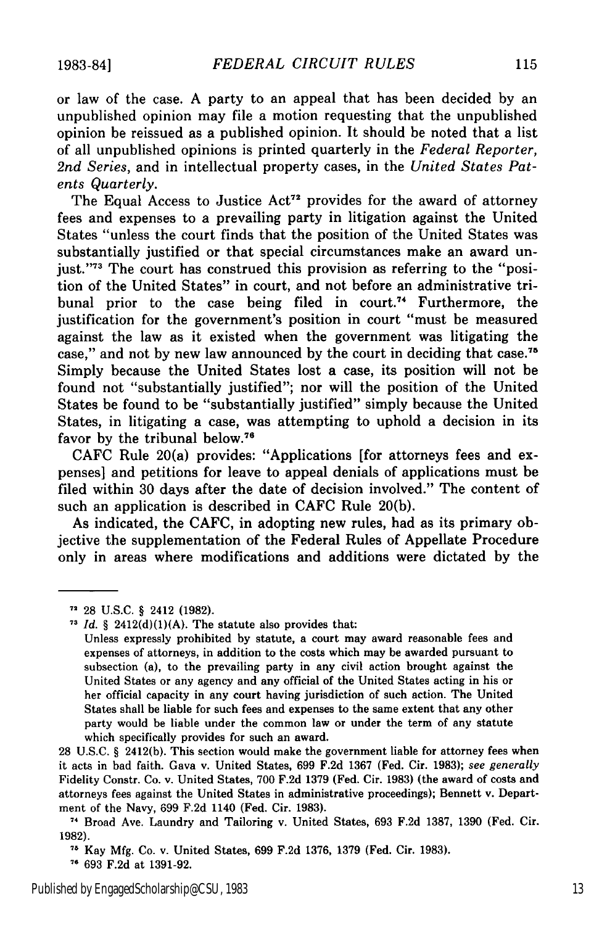or law of the case. A party to an appeal that has been decided by an unpublished opinion may file a motion requesting that the unpublished opinion be reissued as a published opinion. It should be noted that a list of all unpublished opinions is printed quarterly in the *Federal Reporter, 2nd Series,* and in intellectual property cases, in the *United States Patents Quarterly.*

The Equal Access to Justice Act<sup>72</sup> provides for the award of attorney fees and expenses to a prevailing party in litigation against the United States "unless the court finds that the position of the United States was substantially justified or that special circumstances make an award unjust."<sup>73</sup> The court has construed this provision as referring to the "position of the United States" in court, and not before an administrative tribunal prior to the case being filed in court.74 Furthermore, the justification for the government's position in court "must be measured against the law as it existed when the government was litigating the case," and not by new law announced by the court in deciding that case.<sup>75</sup> Simply because the United States lost a case, its position will not be found not "substantially justified"; nor will the position of the United States be found to be "substantially justified" simply because the United States, in litigating a case, was attempting to uphold a decision in its favor by the tribunal below.<sup>76</sup>

CAFC Rule 20(a) provides: "Applications [for attorneys fees and expenses] and petitions for leave to appeal denials of applications must be filed within 30 days after the date of decision involved." The content of such an application is described in CAFC Rule 20(b).

As indicated, the CAFC, in adopting new rules, had as its primary objective the supplementation of the Federal Rules of Appellate Procedure only in areas where modifications and additions were dictated by the

**<sup>72</sup>** 28 U.S.C. § 2412 (1982).

**<sup>73</sup>** *Id.* § 2412(d)(1)(A). The statute also provides that:

Unless expressly prohibited by statute, a court may award reasonable fees and expenses of attorneys, in addition to the costs which may be awarded pursuant to subsection (a), to the prevailing party in any civil action brought against the United States or any agency and any official of the United States acting in his or her official capacity in any court having jurisdiction of such action. The United States shall be liable for such fees and expenses to the same extent that any other party would be liable under the common law or under the term of any statute which specifically provides for such an award.

<sup>28</sup> U.S.C. § 2412(b). This section would make the government liable for attorney fees when it acts in bad faith. Gava v. United States, 699 F.2d 1367 (Fed. Cir. 1983); *see generally* Fidelity Constr. Co. v. United States, 700 F.2d 1379 (Fed. Cir. 1983) (the award of costs and attorneys fees against the United States in administrative proceedings); Bennett v. Department of the Navy, 699 F.2d 1140 (Fed. Cir. 1983).

**<sup>7&#</sup>x27;** Broad Ave. Laundry and Tailoring v. United States, 693 F.2d 1387, 1390 (Fed. Cir. 1982).

**<sup>7&#</sup>x27;** Kay Mfg. Co. v. United States, 699 F.2d 1376, 1379 (Fed. Cir. 1983).

**<sup>76</sup>** 693 F.2d at 1391-92.